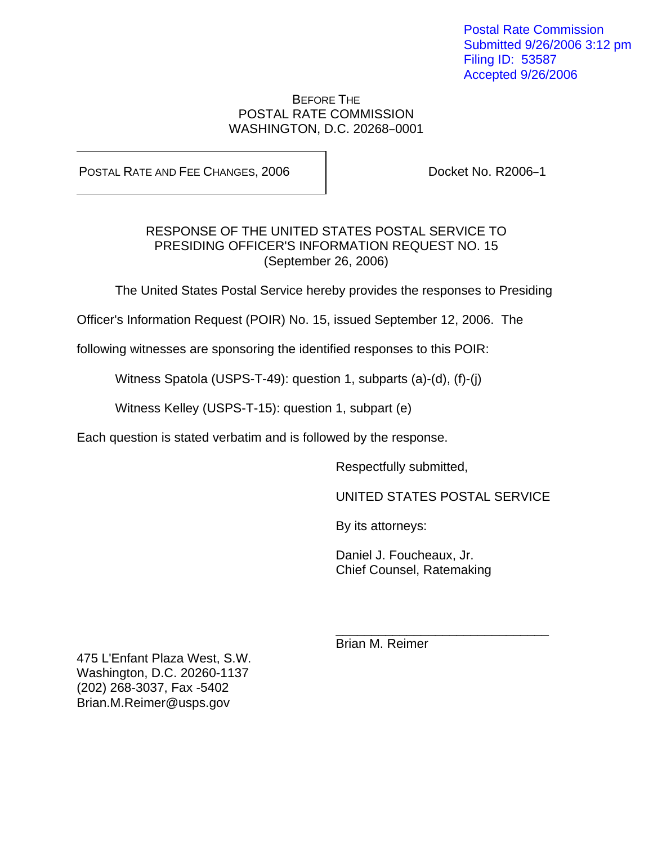Postal Rate Commission Submitted 9/26/2006 3:12 pm Filing ID: 53587 Accepted 9/26/2006

#### BEFORE THE POSTAL RATE COMMISSION WASHINGTON, D.C. 20268-0001

POSTAL RATE AND FEE CHANGES, 2006 | Docket No. R2006-1

### RESPONSE OF THE UNITED STATES POSTAL SERVICE TO PRESIDING OFFICER'S INFORMATION REQUEST NO. 15 (September 26, 2006)

The United States Postal Service hereby provides the responses to Presiding

Officer's Information Request (POIR) No. 15, issued September 12, 2006. The

following witnesses are sponsoring the identified responses to this POIR:

Witness Spatola (USPS-T-49): question 1, subparts (a)-(d), (f)-(j)

 $\frac{1}{\sqrt{2\pi}}$  ,  $\frac{1}{\sqrt{2\pi}}$  ,  $\frac{1}{\sqrt{2\pi}}$  ,  $\frac{1}{\sqrt{2\pi}}$  ,  $\frac{1}{\sqrt{2\pi}}$  ,  $\frac{1}{\sqrt{2\pi}}$  ,  $\frac{1}{\sqrt{2\pi}}$  ,  $\frac{1}{\sqrt{2\pi}}$  ,  $\frac{1}{\sqrt{2\pi}}$  ,  $\frac{1}{\sqrt{2\pi}}$  ,  $\frac{1}{\sqrt{2\pi}}$  ,  $\frac{1}{\sqrt{2\pi}}$  ,  $\frac{1}{\sqrt{2\pi}}$  ,

Witness Kelley (USPS-T-15): question 1, subpart (e)

Each question is stated verbatim and is followed by the response.

Respectfully submitted,

UNITED STATES POSTAL SERVICE

By its attorneys:

 Daniel J. Foucheaux, Jr. Chief Counsel, Ratemaking

Brian M. Reimer

475 L'Enfant Plaza West, S.W. Washington, D.C. 20260-1137 (202) 268-3037, Fax -5402 Brian.M.Reimer@usps.gov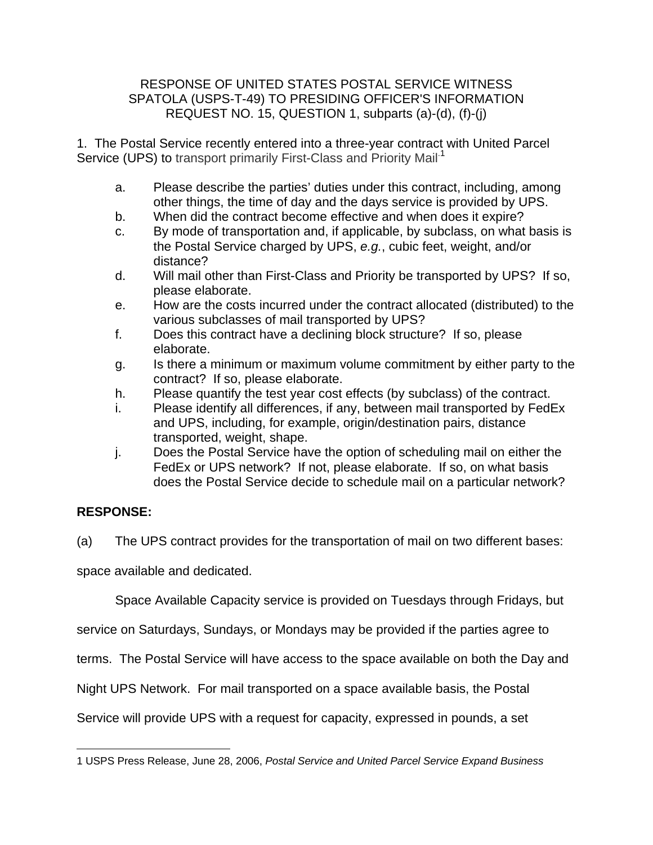1. The Postal Service recently entered into a three-year contract with United Parcel Service (UPS) to transport primarily First-Class and Priority Mail<sup>-1</sup>

- a. Please describe the parties' duties under this contract, including, among other things, the time of day and the days service is provided by UPS.
- b. When did the contract become effective and when does it expire?
- c. By mode of transportation and, if applicable, by subclass, on what basis is the Postal Service charged by UPS, e.g., cubic feet, weight, and/or distance?
- d. Will mail other than First-Class and Priority be transported by UPS? If so, please elaborate.
- e. How are the costs incurred under the contract allocated (distributed) to the various subclasses of mail transported by UPS?
- f. Does this contract have a declining block structure? If so, please elaborate.
- g. Is there a minimum or maximum volume commitment by either party to the contract? If so, please elaborate.
- h. Please quantify the test year cost effects (by subclass) of the contract.
- i. Please identify all differences, if any, between mail transported by FedEx and UPS, including, for example, origin/destination pairs, distance transported, weight, shape.
- j. Does the Postal Service have the option of scheduling mail on either the FedEx or UPS network? If not, please elaborate. If so, on what basis does the Postal Service decide to schedule mail on a particular network?

# **RESPONSE:**

(a) The UPS contract provides for the transportation of mail on two different bases:

space available and dedicated.

Space Available Capacity service is provided on Tuesdays through Fridays, but

service on Saturdays, Sundays, or Mondays may be provided if the parties agree to

terms. The Postal Service will have access to the space available on both the Day and

Night UPS Network. For mail transported on a space available basis, the Postal

Service will provide UPS with a request for capacity, expressed in pounds, a set

 $\overline{a}$ 1 USPS Press Release, June 28, 2006, Postal Service and United Parcel Service Expand Business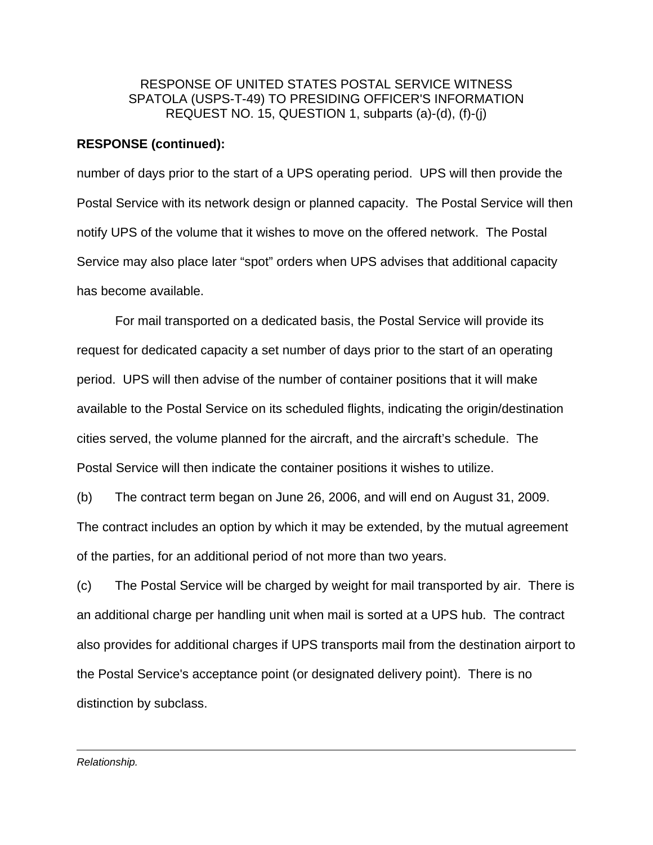#### **RESPONSE (continued):**

number of days prior to the start of a UPS operating period. UPS will then provide the Postal Service with its network design or planned capacity. The Postal Service will then notify UPS of the volume that it wishes to move on the offered network. The Postal Service may also place later "spot" orders when UPS advises that additional capacity has become available.

 For mail transported on a dedicated basis, the Postal Service will provide its request for dedicated capacity a set number of days prior to the start of an operating period. UPS will then advise of the number of container positions that it will make available to the Postal Service on its scheduled flights, indicating the origin/destination cities served, the volume planned for the aircraft, and the aircraft's schedule. The Postal Service will then indicate the container positions it wishes to utilize.

(b) The contract term began on June 26, 2006, and will end on August 31, 2009. The contract includes an option by which it may be extended, by the mutual agreement of the parties, for an additional period of not more than two years.

(c) The Postal Service will be charged by weight for mail transported by air. There is an additional charge per handling unit when mail is sorted at a UPS hub. The contract also provides for additional charges if UPS transports mail from the destination airport to the Postal Service's acceptance point (or designated delivery point). There is no distinction by subclass.

<u>.</u> Relationship.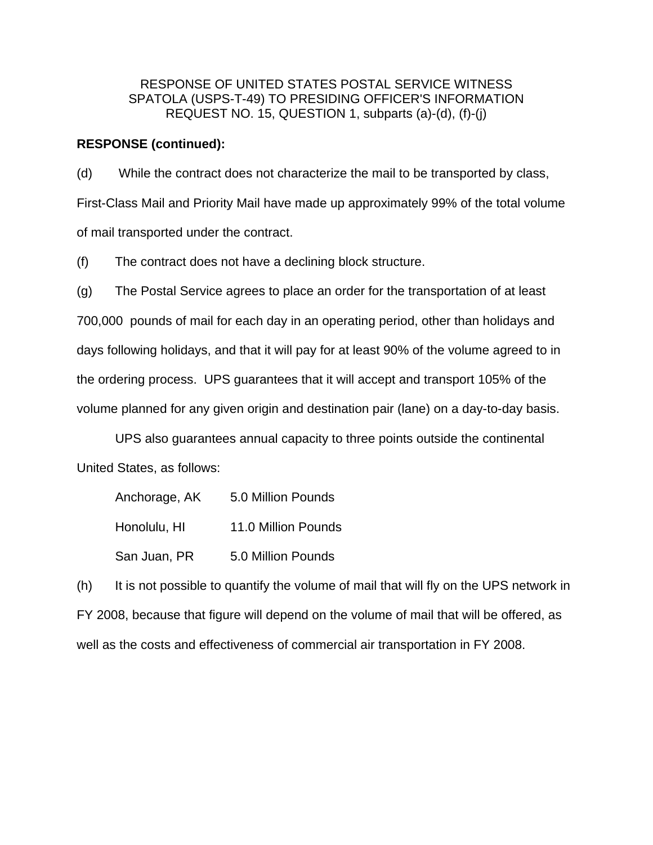#### **RESPONSE (continued):**

(d) While the contract does not characterize the mail to be transported by class, First-Class Mail and Priority Mail have made up approximately 99% of the total volume of mail transported under the contract.

(f) The contract does not have a declining block structure.

(g) The Postal Service agrees to place an order for the transportation of at least 700,000 pounds of mail for each day in an operating period, other than holidays and days following holidays, and that it will pay for at least 90% of the volume agreed to in the ordering process. UPS guarantees that it will accept and transport 105% of the volume planned for any given origin and destination pair (lane) on a day-to-day basis.

 UPS also guarantees annual capacity to three points outside the continental United States, as follows:

| Anchorage, AK | 5.0 Million Pounds  |
|---------------|---------------------|
| Honolulu, HI  | 11.0 Million Pounds |
| San Juan, PR  | 5.0 Million Pounds  |

(h) It is not possible to quantify the volume of mail that will fly on the UPS network in FY 2008, because that figure will depend on the volume of mail that will be offered, as well as the costs and effectiveness of commercial air transportation in FY 2008.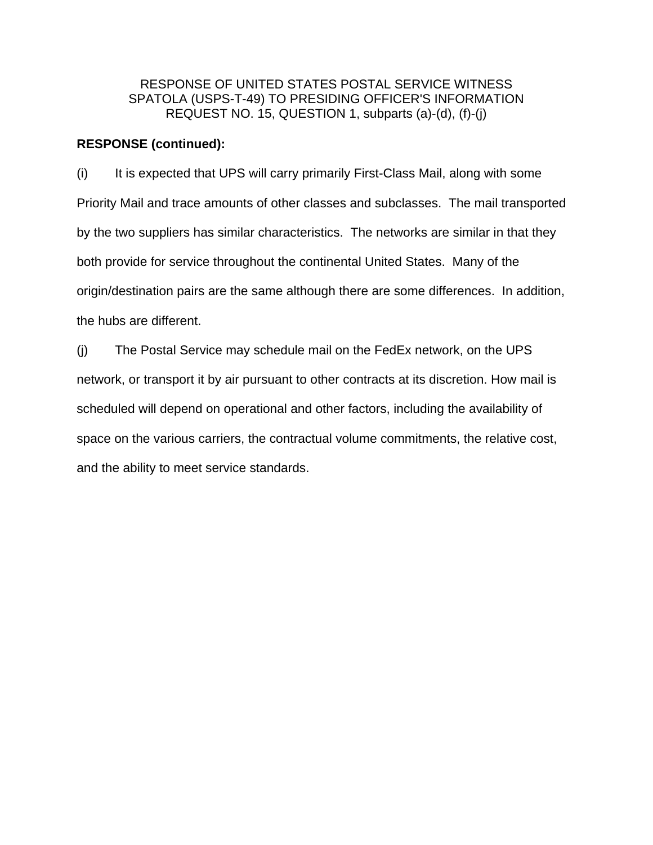#### **RESPONSE (continued):**

(i) It is expected that UPS will carry primarily First-Class Mail, along with some Priority Mail and trace amounts of other classes and subclasses. The mail transported by the two suppliers has similar characteristics. The networks are similar in that they both provide for service throughout the continental United States. Many of the origin/destination pairs are the same although there are some differences. In addition, the hubs are different.

(j) The Postal Service may schedule mail on the FedEx network, on the UPS network, or transport it by air pursuant to other contracts at its discretion. How mail is scheduled will depend on operational and other factors, including the availability of space on the various carriers, the contractual volume commitments, the relative cost, and the ability to meet service standards.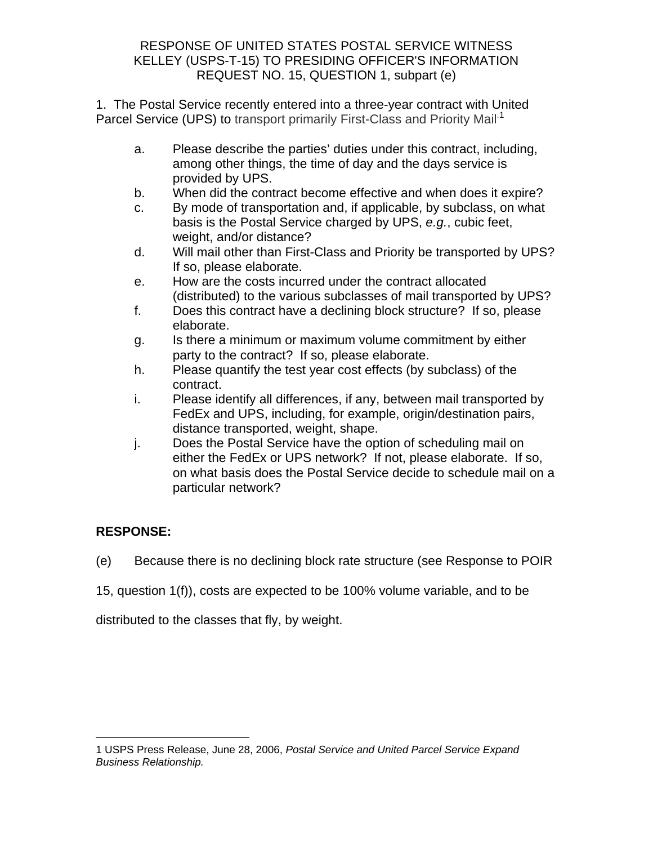## RESPONSE OF UNITED STATES POSTAL SERVICE WITNESS KELLEY (USPS-T-15) TO PRESIDING OFFICER'S INFORMATION REQUEST NO. 15, QUESTION 1, subpart (e)

1. The Postal Service recently entered into a three-year contract with United Parcel Service (UPS) to transport primarily First-Class and Priority Mail<sup>-1</sup>

- a. Please describe the parties' duties under this contract, including, among other things, the time of day and the days service is provided by UPS.
- b. When did the contract become effective and when does it expire?
- c. By mode of transportation and, if applicable, by subclass, on what basis is the Postal Service charged by UPS, e.g., cubic feet, weight, and/or distance?
- d. Will mail other than First-Class and Priority be transported by UPS? If so, please elaborate.
- e. How are the costs incurred under the contract allocated (distributed) to the various subclasses of mail transported by UPS?
- f. Does this contract have a declining block structure? If so, please elaborate.
- g. Is there a minimum or maximum volume commitment by either party to the contract? If so, please elaborate.
- h. Please quantify the test year cost effects (by subclass) of the contract.
- i. Please identify all differences, if any, between mail transported by FedEx and UPS, including, for example, origin/destination pairs, distance transported, weight, shape.
- j. Does the Postal Service have the option of scheduling mail on either the FedEx or UPS network? If not, please elaborate. If so, on what basis does the Postal Service decide to schedule mail on a particular network?

# **RESPONSE:**

- (e) Because there is no declining block rate structure (see Response to POIR
- 15, question 1(f)), costs are expected to be 100% volume variable, and to be

distributed to the classes that fly, by weight.

 $\overline{a}$ 1 USPS Press Release, June 28, 2006, Postal Service and United Parcel Service Expand Business Relationship.